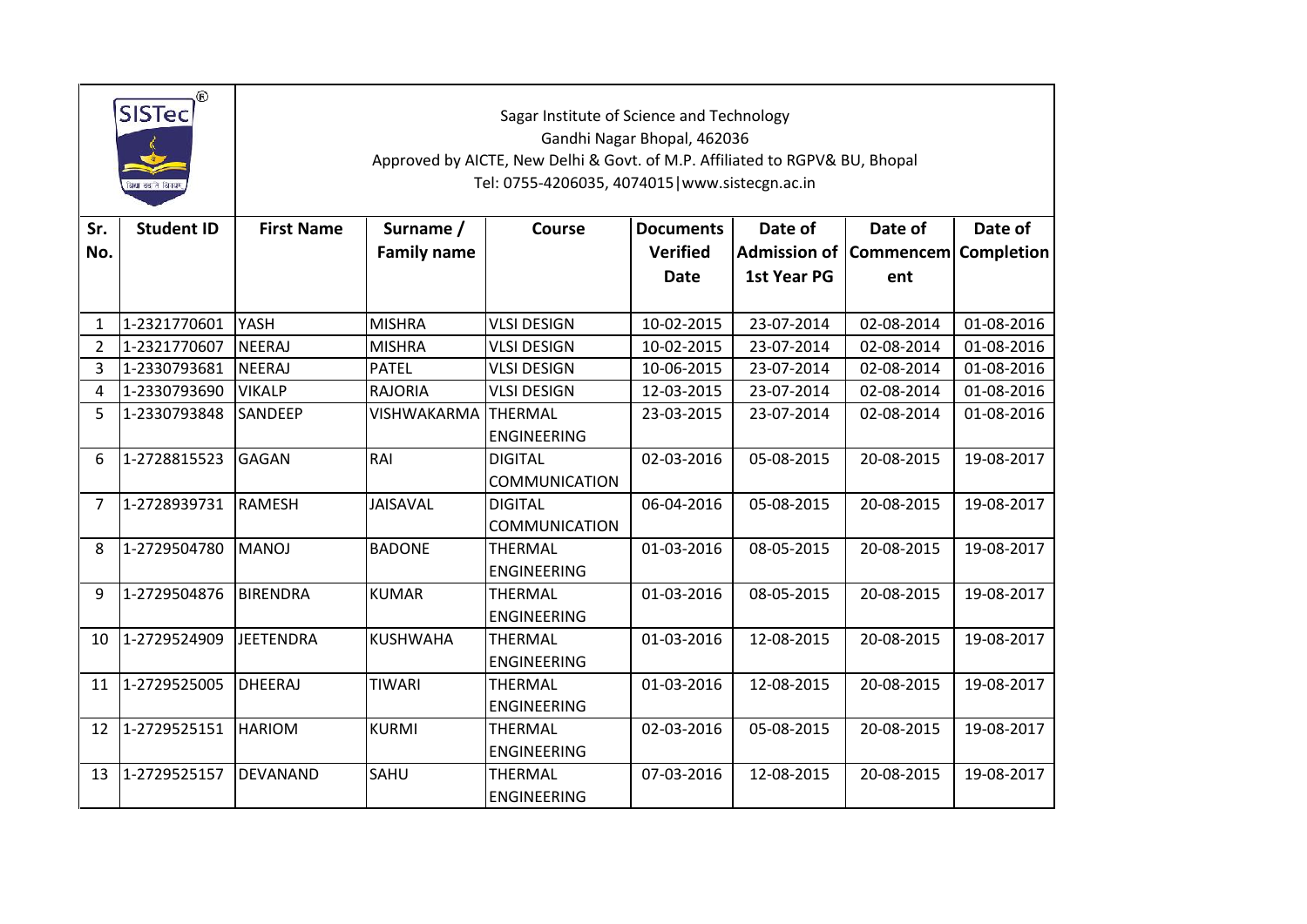|                | $^\circledR$<br><b>SISTec</b><br>केशा ददा ते विगयम |                   |                                 | Sagar Institute of Science and Technology<br>Gandhi Nagar Bhopal, 462036<br>Approved by AICTE, New Delhi & Govt. of M.P. Affiliated to RGPV& BU, Bhopal<br>Tel: 0755-4206035, 4074015   www.sistecgn.ac.in |                                     |             |                                                  |            |  |
|----------------|----------------------------------------------------|-------------------|---------------------------------|------------------------------------------------------------------------------------------------------------------------------------------------------------------------------------------------------------|-------------------------------------|-------------|--------------------------------------------------|------------|--|
| Sr.<br>No.     | <b>Student ID</b>                                  | <b>First Name</b> | Surname /<br><b>Family name</b> | <b>Course</b>                                                                                                                                                                                              | <b>Documents</b><br><b>Verified</b> | Date of     | Date of<br>Admission of   Commencem   Completion | Date of    |  |
|                |                                                    |                   |                                 |                                                                                                                                                                                                            | <b>Date</b>                         | 1st Year PG | ent                                              |            |  |
| 1              | 1-2321770601                                       | YASH              | <b>MISHRA</b>                   | <b>VLSI DESIGN</b>                                                                                                                                                                                         | 10-02-2015                          | 23-07-2014  | 02-08-2014                                       | 01-08-2016 |  |
| $\overline{2}$ | 1-2321770607                                       | NEERAJ            | <b>MISHRA</b>                   | <b>VLSI DESIGN</b>                                                                                                                                                                                         | 10-02-2015                          | 23-07-2014  | 02-08-2014                                       | 01-08-2016 |  |
| 3              | 1-2330793681                                       | <b>NEERAJ</b>     | <b>PATEL</b>                    | <b>VLSI DESIGN</b>                                                                                                                                                                                         | 10-06-2015                          | 23-07-2014  | 02-08-2014                                       | 01-08-2016 |  |
| 4              | 1-2330793690                                       | <b>VIKALP</b>     | <b>RAJORIA</b>                  | <b>VLSI DESIGN</b>                                                                                                                                                                                         | 12-03-2015                          | 23-07-2014  | 02-08-2014                                       | 01-08-2016 |  |
| 5              | 1-2330793848                                       | <b>SANDEEP</b>    | VISHWAKARMA THERMAL             | <b>ENGINEERING</b>                                                                                                                                                                                         | 23-03-2015                          | 23-07-2014  | 02-08-2014                                       | 01-08-2016 |  |
| 6              | 1-2728815523                                       | <b>GAGAN</b>      | RAI                             | <b>DIGITAL</b><br><b>COMMUNICATION</b>                                                                                                                                                                     | 02-03-2016                          | 05-08-2015  | 20-08-2015                                       | 19-08-2017 |  |
| 7              | 1-2728939731                                       | <b>RAMESH</b>     | <b>JAISAVAL</b>                 | <b>DIGITAL</b><br><b>COMMUNICATION</b>                                                                                                                                                                     | 06-04-2016                          | 05-08-2015  | 20-08-2015                                       | 19-08-2017 |  |
| 8              | 1-2729504780                                       | <b>MANOJ</b>      | <b>BADONE</b>                   | THERMAL<br><b>ENGINEERING</b>                                                                                                                                                                              | 01-03-2016                          | 08-05-2015  | 20-08-2015                                       | 19-08-2017 |  |
| 9              | 1-2729504876                                       | <b>BIRENDRA</b>   | <b>KUMAR</b>                    | THERMAL<br><b>ENGINEERING</b>                                                                                                                                                                              | 01-03-2016                          | 08-05-2015  | 20-08-2015                                       | 19-08-2017 |  |
| 10             | 1-2729524909                                       | <b>JEETENDRA</b>  | <b>KUSHWAHA</b>                 | <b>THERMAL</b><br><b>ENGINEERING</b>                                                                                                                                                                       | 01-03-2016                          | 12-08-2015  | 20-08-2015                                       | 19-08-2017 |  |
| 11             | 1-2729525005                                       | <b>DHEERAJ</b>    | <b>TIWARI</b>                   | THERMAL<br><b>ENGINEERING</b>                                                                                                                                                                              | 01-03-2016                          | 12-08-2015  | 20-08-2015                                       | 19-08-2017 |  |
| 12             | 1-2729525151                                       | <b>HARIOM</b>     | <b>KURMI</b>                    | <b>THERMAL</b><br><b>ENGINEERING</b>                                                                                                                                                                       | 02-03-2016                          | 05-08-2015  | 20-08-2015                                       | 19-08-2017 |  |
| 13             | 1-2729525157                                       | DEVANAND          | SAHU                            | <b>THERMAL</b><br><b>ENGINEERING</b>                                                                                                                                                                       | 07-03-2016                          | 12-08-2015  | 20-08-2015                                       | 19-08-2017 |  |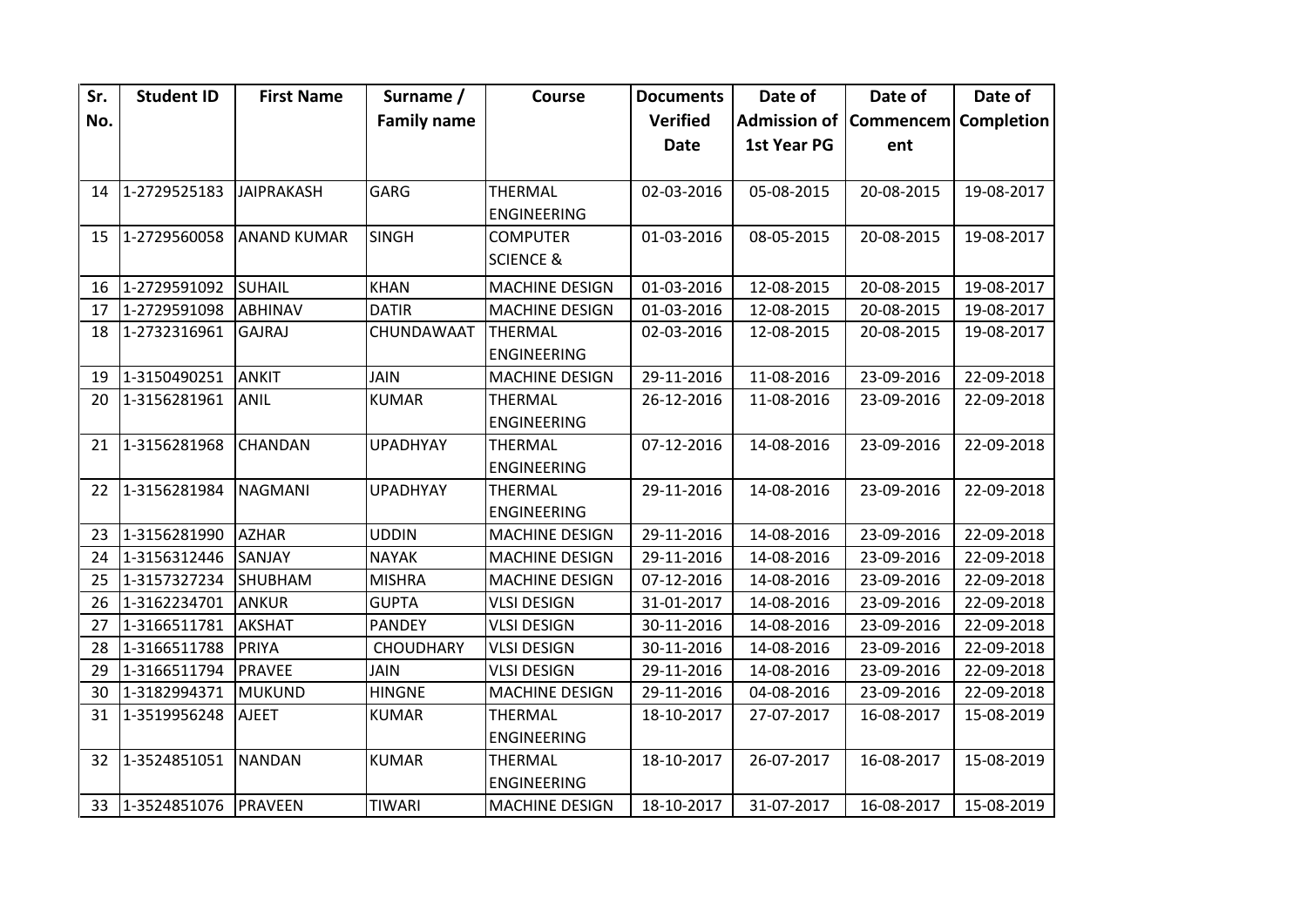| Sr. | <b>Student ID</b>       | <b>First Name</b>  | Surname /          | Course                | <b>Documents</b> | Date of                           | Date of    | Date of    |
|-----|-------------------------|--------------------|--------------------|-----------------------|------------------|-----------------------------------|------------|------------|
| No. |                         |                    | <b>Family name</b> |                       | <b>Verified</b>  | Admission of Commencem Completion |            |            |
|     |                         |                    |                    |                       | <b>Date</b>      | 1st Year PG                       | ent        |            |
|     |                         |                    |                    |                       |                  |                                   |            |            |
|     | 14 1-2729525183         | <b>JAIPRAKASH</b>  | <b>GARG</b>        | <b>THERMAL</b>        | 02-03-2016       | 05-08-2015                        | 20-08-2015 | 19-08-2017 |
|     |                         |                    |                    | <b>ENGINEERING</b>    |                  |                                   |            |            |
|     | 15 1-2729560058         | <b>ANAND KUMAR</b> | <b>SINGH</b>       | <b>COMPUTER</b>       | 01-03-2016       | 08-05-2015                        | 20-08-2015 | 19-08-2017 |
|     |                         |                    |                    | <b>SCIENCE &amp;</b>  |                  |                                   |            |            |
| 16  | 1-2729591092            | <b>SUHAIL</b>      | <b>KHAN</b>        | <b>MACHINE DESIGN</b> | 01-03-2016       | 12-08-2015                        | 20-08-2015 | 19-08-2017 |
| 17  | 1-2729591098            | <b>ABHINAV</b>     | <b>DATIR</b>       | <b>MACHINE DESIGN</b> | 01-03-2016       | 12-08-2015                        | 20-08-2015 | 19-08-2017 |
| 18  | 1-2732316961            | <b>GAJRAJ</b>      | CHUNDAWAAT         | <b>THERMAL</b>        | 02-03-2016       | 12-08-2015                        | 20-08-2015 | 19-08-2017 |
|     |                         |                    |                    | <b>ENGINEERING</b>    |                  |                                   |            |            |
| 19  | 1-3150490251            | <b>ANKIT</b>       | <b>JAIN</b>        | <b>MACHINE DESIGN</b> | 29-11-2016       | 11-08-2016                        | 23-09-2016 | 22-09-2018 |
| 20  | 1-3156281961            | <b>ANIL</b>        | <b>KUMAR</b>       | <b>THERMAL</b>        | 26-12-2016       | 11-08-2016                        | 23-09-2016 | 22-09-2018 |
|     |                         |                    |                    | <b>ENGINEERING</b>    |                  |                                   |            |            |
| 21  | 1-3156281968            | <b>CHANDAN</b>     | <b>UPADHYAY</b>    | <b>THERMAL</b>        | 07-12-2016       | 14-08-2016                        | 23-09-2016 | 22-09-2018 |
|     |                         |                    |                    | <b>ENGINEERING</b>    |                  |                                   |            |            |
| 22  | 1-3156281984            | <b>NAGMANI</b>     | <b>UPADHYAY</b>    | <b>THERMAL</b>        | 29-11-2016       | 14-08-2016                        | 23-09-2016 | 22-09-2018 |
|     |                         |                    |                    | <b>ENGINEERING</b>    |                  |                                   |            |            |
| 23  | 1-3156281990            | <b>AZHAR</b>       | <b>UDDIN</b>       | <b>MACHINE DESIGN</b> | 29-11-2016       | 14-08-2016                        | 23-09-2016 | 22-09-2018 |
| 24  | 1-3156312446            | SANJAY             | <b>NAYAK</b>       | <b>MACHINE DESIGN</b> | 29-11-2016       | 14-08-2016                        | 23-09-2016 | 22-09-2018 |
| 25  | 1-3157327234            | SHUBHAM            | <b>MISHRA</b>      | <b>MACHINE DESIGN</b> | 07-12-2016       | 14-08-2016                        | 23-09-2016 | 22-09-2018 |
| 26  | 1-3162234701            | <b>ANKUR</b>       | <b>GUPTA</b>       | <b>VLSI DESIGN</b>    | 31-01-2017       | 14-08-2016                        | 23-09-2016 | 22-09-2018 |
| 27  | 1-3166511781            | <b>AKSHAT</b>      | <b>PANDEY</b>      | <b>VLSI DESIGN</b>    | 30-11-2016       | 14-08-2016                        | 23-09-2016 | 22-09-2018 |
| 28  | 1-3166511788            | PRIYA              | <b>CHOUDHARY</b>   | <b>VLSI DESIGN</b>    | 30-11-2016       | 14-08-2016                        | 23-09-2016 | 22-09-2018 |
| 29  | 1-3166511794            | <b>PRAVEE</b>      | <b>JAIN</b>        | <b>VLSI DESIGN</b>    | 29-11-2016       | 14-08-2016                        | 23-09-2016 | 22-09-2018 |
| 30  | 1-3182994371            | <b>MUKUND</b>      | <b>HINGNE</b>      | <b>MACHINE DESIGN</b> | 29-11-2016       | 04-08-2016                        | 23-09-2016 | 22-09-2018 |
| 31  | 1-3519956248            | <b>AJEET</b>       | <b>KUMAR</b>       | <b>THERMAL</b>        | 18-10-2017       | 27-07-2017                        | 16-08-2017 | 15-08-2019 |
|     |                         |                    |                    | <b>ENGINEERING</b>    |                  |                                   |            |            |
| 32  | 1-3524851051            | <b>NANDAN</b>      | <b>KUMAR</b>       | <b>THERMAL</b>        | 18-10-2017       | 26-07-2017                        | 16-08-2017 | 15-08-2019 |
|     |                         |                    |                    | <b>ENGINEERING</b>    |                  |                                   |            |            |
|     | 33 1-3524851076 PRAVEEN |                    | <b>TIWARI</b>      | <b>MACHINE DESIGN</b> | 18-10-2017       | 31-07-2017                        | 16-08-2017 | 15-08-2019 |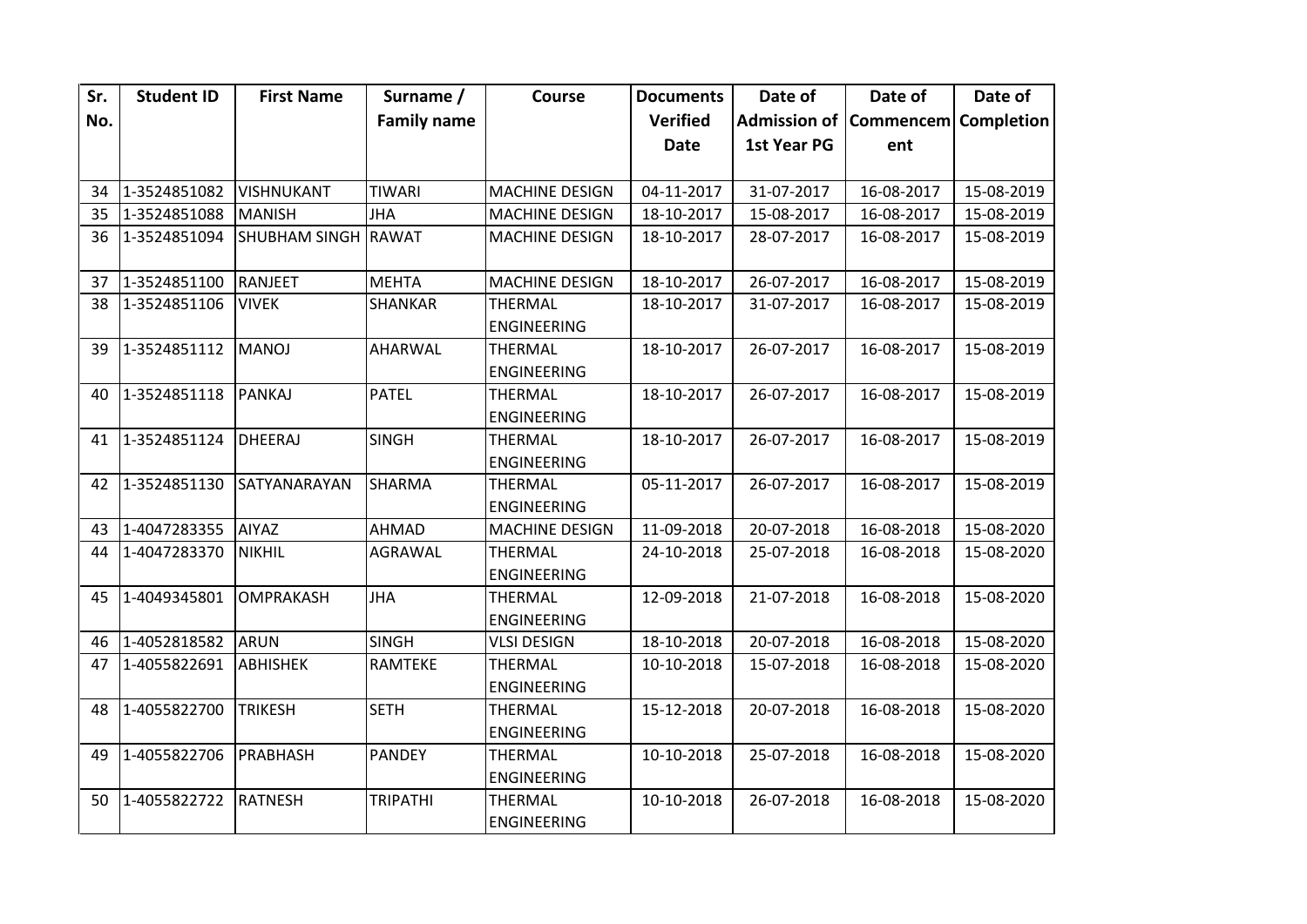| Sr. | <b>Student ID</b> | <b>First Name</b>   | Surname /          | Course                               | <b>Documents</b> | Date of                           | Date of    | Date of    |
|-----|-------------------|---------------------|--------------------|--------------------------------------|------------------|-----------------------------------|------------|------------|
| No. |                   |                     | <b>Family name</b> |                                      | Verified         | Admission of Commencem Completion |            |            |
|     |                   |                     |                    |                                      | <b>Date</b>      | 1st Year PG                       | ent        |            |
|     |                   |                     |                    |                                      |                  |                                   |            |            |
| 34  | 1-3524851082      | <b>VISHNUKANT</b>   | <b>TIWARI</b>      | <b>MACHINE DESIGN</b>                | 04-11-2017       | 31-07-2017                        | 16-08-2017 | 15-08-2019 |
| 35  | 1-3524851088      | <b>MANISH</b>       | <b>JHA</b>         | <b>MACHINE DESIGN</b>                | 18-10-2017       | 15-08-2017                        | 16-08-2017 | 15-08-2019 |
| 36  | 1-3524851094      | SHUBHAM SINGH RAWAT |                    | <b>MACHINE DESIGN</b>                | 18-10-2017       | 28-07-2017                        | 16-08-2017 | 15-08-2019 |
| 37  | 1-3524851100      | RANJEET             | <b>MEHTA</b>       | <b>MACHINE DESIGN</b>                | 18-10-2017       | 26-07-2017                        | 16-08-2017 | 15-08-2019 |
| 38  | 1-3524851106      | <b>VIVEK</b>        | <b>SHANKAR</b>     | <b>THERMAL</b><br><b>ENGINEERING</b> | 18-10-2017       | 31-07-2017                        | 16-08-2017 | 15-08-2019 |
| 39  | 1-3524851112      | <b>MANOJ</b>        | <b>AHARWAL</b>     | <b>THERMAL</b><br><b>ENGINEERING</b> | 18-10-2017       | 26-07-2017                        | 16-08-2017 | 15-08-2019 |
| 40  | 1-3524851118      | <b>PANKAJ</b>       | <b>PATEL</b>       | <b>THERMAL</b><br><b>ENGINEERING</b> | 18-10-2017       | 26-07-2017                        | 16-08-2017 | 15-08-2019 |
| 41  | 1-3524851124      | <b>DHEERAJ</b>      | <b>SINGH</b>       | <b>THERMAL</b><br><b>ENGINEERING</b> | 18-10-2017       | 26-07-2017                        | 16-08-2017 | 15-08-2019 |
| 42  | 1-3524851130      | SATYANARAYAN        | <b>SHARMA</b>      | <b>THERMAL</b><br><b>ENGINEERING</b> | 05-11-2017       | 26-07-2017                        | 16-08-2017 | 15-08-2019 |
| 43  | 1-4047283355      | <b>AIYAZ</b>        | <b>AHMAD</b>       | <b>MACHINE DESIGN</b>                | 11-09-2018       | 20-07-2018                        | 16-08-2018 | 15-08-2020 |
| 44  | 1-4047283370      | <b>NIKHIL</b>       | <b>AGRAWAL</b>     | <b>THERMAL</b><br><b>ENGINEERING</b> | 24-10-2018       | 25-07-2018                        | 16-08-2018 | 15-08-2020 |
| 45  | 1-4049345801      | OMPRAKASH           | <b>JHA</b>         | <b>THERMAL</b><br><b>ENGINEERING</b> | 12-09-2018       | 21-07-2018                        | 16-08-2018 | 15-08-2020 |
| 46  | 1-4052818582      | <b>ARUN</b>         | <b>SINGH</b>       | <b>VLSI DESIGN</b>                   | 18-10-2018       | 20-07-2018                        | 16-08-2018 | 15-08-2020 |
| 47  | 1-4055822691      | <b>ABHISHEK</b>     | RAMTEKE            | <b>THERMAL</b><br><b>ENGINEERING</b> | 10-10-2018       | 15-07-2018                        | 16-08-2018 | 15-08-2020 |
| 48  | 1-4055822700      | <b>TRIKESH</b>      | <b>SETH</b>        | <b>THERMAL</b><br><b>ENGINEERING</b> | 15-12-2018       | 20-07-2018                        | 16-08-2018 | 15-08-2020 |
| 49  | 1-4055822706      | PRABHASH            | <b>PANDEY</b>      | <b>THERMAL</b><br><b>ENGINEERING</b> | 10-10-2018       | 25-07-2018                        | 16-08-2018 | 15-08-2020 |
| 50  | 1-4055822722      | <b>RATNESH</b>      | <b>TRIPATHI</b>    | <b>THERMAL</b><br><b>ENGINEERING</b> | 10-10-2018       | 26-07-2018                        | 16-08-2018 | 15-08-2020 |